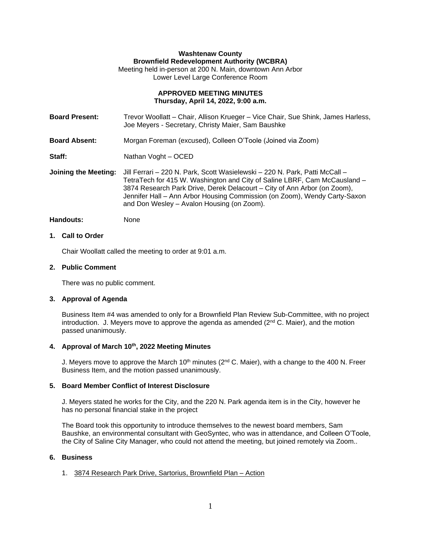# **Washtenaw County Brownfield Redevelopment Authority (WCBRA)**

Meeting held in-person at 200 N. Main, downtown Ann Arbor Lower Level Large Conference Room

### **APPROVED MEETING MINUTES Thursday, April 14, 2022, 9:00 a.m.**

**Board Present:** Trevor Woollatt – Chair, Allison Krueger – Vice Chair, Sue Shink, James Harless, Joe Meyers - Secretary, Christy Maier, Sam Baushke

**Board Absent:** Morgan Foreman (excused), Colleen O'Toole (Joined via Zoom)

Staff: Nathan Voght – OCED

**Joining the Meeting:** Jill Ferrari – 220 N. Park, Scott Wasielewski – 220 N. Park, Patti McCall – TetraTech for 415 W. Washington and City of Saline LBRF, Cam McCausland – 3874 Research Park Drive, Derek Delacourt – City of Ann Arbor (on Zoom), Jennifer Hall – Ann Arbor Housing Commission (on Zoom), Wendy Carty-Saxon and Don Wesley – Avalon Housing (on Zoom).

Handouts: None

### **1. Call to Order**

Chair Woollatt called the meeting to order at 9:01 a.m.

## **2. Public Comment**

There was no public comment.

## **3. Approval of Agenda**

Business Item #4 was amended to only for a Brownfield Plan Review Sub-Committee, with no project introduction. J. Meyers move to approve the agenda as amended  $(2<sup>nd</sup> C.$  Maier), and the motion passed unanimously.

### **4. Approval of March 10th , 2022 Meeting Minutes**

J. Meyers move to approve the March 10<sup>th</sup> minutes (2<sup>nd</sup> C. Maier), with a change to the 400 N. Freer Business Item, and the motion passed unanimously.

### **5. Board Member Conflict of Interest Disclosure**

J. Meyers stated he works for the City, and the 220 N. Park agenda item is in the City, however he has no personal financial stake in the project

The Board took this opportunity to introduce themselves to the newest board members, Sam Baushke, an environmental consultant with GeoSyntec, who was in attendance, and Colleen O'Toole, the City of Saline City Manager, who could not attend the meeting, but joined remotely via Zoom..

### **6. Business**

## 1. 3874 Research Park Drive, Sartorius, Brownfield Plan – Action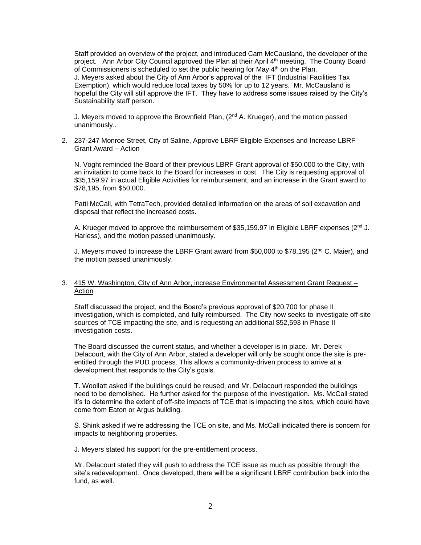Staff provided an overview of the project, and introduced Cam McCausland, the developer of the project. Ann Arbor City Council approved the Plan at their April 4<sup>th</sup> meeting. The County Board of Commissioners is scheduled to set the public hearing for May  $4<sup>th</sup>$  on the Plan.

J. Meyers asked about the City of Ann Arbor's approval of the IFT (Industrial Facilities Tax Exemption), which would reduce local taxes by 50% for up to 12 years. Mr. McCausland is hopeful the City will still approve the IFT. They have to address some issues raised by the City's Sustainability staff person.

J. Meyers moved to approve the Brownfield Plan,  $(2^{nd} A$ . Krueger), and the motion passed unanimously..

### 2. 237-247 Monroe Street, City of Saline, Approve LBRF Eligible Expenses and Increase LBRF Grant Award – Action

N. Voght reminded the Board of their previous LBRF Grant approval of \$50,000 to the City, with an invitation to come back to the Board for increases in cost. The City is requesting approval of \$35,159.97 in actual Eligible Activities for reimbursement, and an increase in the Grant award to \$78,195, from \$50,000.

Patti McCall, with TetraTech, provided detailed information on the areas of soil excavation and disposal that reflect the increased costs.

A. Krueger moved to approve the reimbursement of \$35,159.97 in Eligible LBRF expenses (2<sup>nd</sup> J. Harless), and the motion passed unanimously.

J. Meyers moved to increase the LBRF Grant award from \$50,000 to \$78,195 ( $2<sup>nd</sup>$  C. Maier), and the motion passed unanimously.

### 3. 415 W. Washington, City of Ann Arbor, increase Environmental Assessment Grant Request – **Action**

Staff discussed the project, and the Board's previous approval of \$20,700 for phase II investigation, which is completed, and fully reimbursed. The City now seeks to investigate off-site sources of TCE impacting the site, and is requesting an additional \$52,593 in Phase II investigation costs.

The Board discussed the current status, and whether a developer is in place. Mr. Derek Delacourt, with the City of Ann Arbor, stated a developer will only be sought once the site is preentitled through the PUD process. This allows a community-driven process to arrive at a development that responds to the City's goals.

T. Woollatt asked if the buildings could be reused, and Mr. Delacourt responded the buildings need to be demolished. He further asked for the purpose of the investigation. Ms. McCall stated it's to determine the extent of off-site impacts of TCE that is impacting the sites, which could have come from Eaton or Argus building.

S. Shink asked if we're addressing the TCE on site, and Ms. McCall indicated there is concern for impacts to neighboring properties.

J. Meyers stated his support for the pre-entitlement process.

Mr. Delacourt stated they will push to address the TCE issue as much as possible through the site's redevelopment. Once developed, there will be a significant LBRF contribution back into the fund, as well.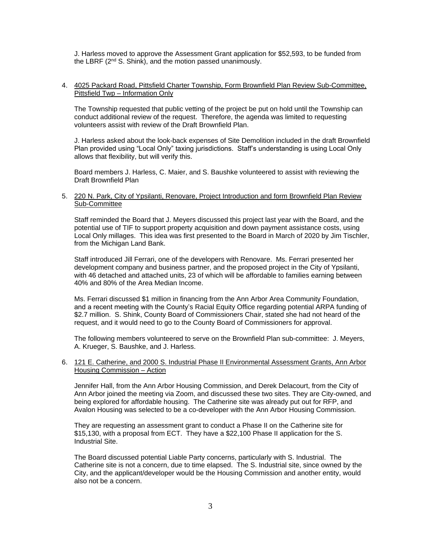J. Harless moved to approve the Assessment Grant application for \$52,593, to be funded from the LBRF (2<sup>nd</sup> S. Shink), and the motion passed unanimously.

#### 4. 4025 Packard Road, Pittsfield Charter Township, Form Brownfield Plan Review Sub-Committee, Pittsfield Twp – Information Only

The Township requested that public vetting of the project be put on hold until the Township can conduct additional review of the request. Therefore, the agenda was limited to requesting volunteers assist with review of the Draft Brownfield Plan.

J. Harless asked about the look-back expenses of Site Demolition included in the draft Brownfield Plan provided using "Local Only" taxing jurisdictions. Staff's understanding is using Local Only allows that flexibility, but will verify this.

Board members J. Harless, C. Maier, and S. Baushke volunteered to assist with reviewing the Draft Brownfield Plan

#### 5. 220 N. Park, City of Ypsilanti, Renovare, Project Introduction and form Brownfield Plan Review Sub-Committee

Staff reminded the Board that J. Meyers discussed this project last year with the Board, and the potential use of TIF to support property acquisition and down payment assistance costs, using Local Only millages. This idea was first presented to the Board in March of 2020 by Jim Tischler, from the Michigan Land Bank.

Staff introduced Jill Ferrari, one of the developers with Renovare. Ms. Ferrari presented her development company and business partner, and the proposed project in the City of Ypsilanti, with 46 detached and attached units, 23 of which will be affordable to families earning between 40% and 80% of the Area Median Income.

Ms. Ferrari discussed \$1 million in financing from the Ann Arbor Area Community Foundation, and a recent meeting with the County's Racial Equity Office regarding potential ARPA funding of \$2.7 million. S. Shink, County Board of Commissioners Chair, stated she had not heard of the request, and it would need to go to the County Board of Commissioners for approval.

The following members volunteered to serve on the Brownfield Plan sub-committee: J. Meyers, A. Krueger, S. Baushke, and J. Harless.

### 6. 121 E. Catherine, and 2000 S. Industrial Phase II Environmental Assessment Grants, Ann Arbor Housing Commission – Action

Jennifer Hall, from the Ann Arbor Housing Commission, and Derek Delacourt, from the City of Ann Arbor joined the meeting via Zoom, and discussed these two sites. They are City-owned, and being explored for affordable housing. The Catherine site was already put out for RFP, and Avalon Housing was selected to be a co-developer with the Ann Arbor Housing Commission.

They are requesting an assessment grant to conduct a Phase II on the Catherine site for \$15,130, with a proposal from ECT. They have a \$22,100 Phase II application for the S. Industrial Site.

The Board discussed potential Liable Party concerns, particularly with S. Industrial. The Catherine site is not a concern, due to time elapsed. The S. Industrial site, since owned by the City, and the applicant/developer would be the Housing Commission and another entity, would also not be a concern.